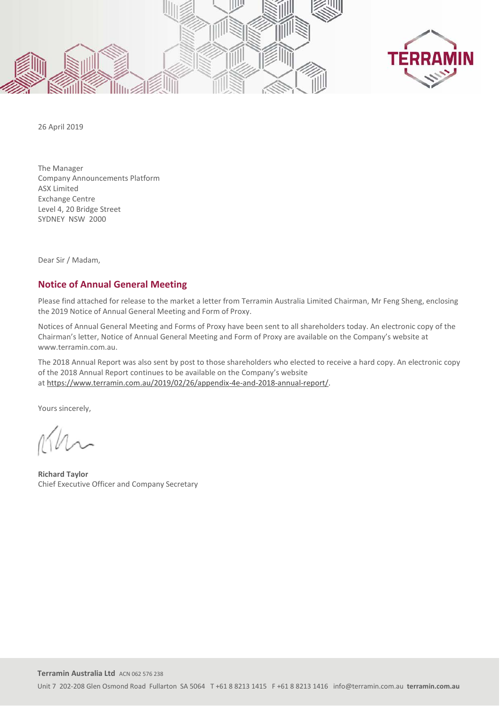



26 April 2019

The Manager Company Announcements Platform ASX Limited Exchange Centre Level 4, 20 Bridge Street SYDNEY NSW 2000

Dear Sir / Madam,

## **Notice of Annual General Meeting**

Please find attached for release to the market a letter from Terramin Australia Limited Chairman, Mr Feng Sheng, enclosing the 2019 Notice of Annual General Meeting and Form of Proxy.

Notices of Annual General Meeting and Forms of Proxy have been sent to all shareholders today. An electronic copy of the Chairman's letter, Notice of Annual General Meeting and Form of Proxy are available on the Company's website at www.terramin.com.au.

The 2018 Annual Report was also sent by post to those shareholders who elected to receive a hard copy. An electronic copy of the 2018 Annual Report continues to be available on the Company's website at https://www.terramin.com.au/2019/02/26/appendix-4e-and-2018-annual-report/.

Yours sincerely,

**Richard Taylor** Chief Executive Officer and Company Secretary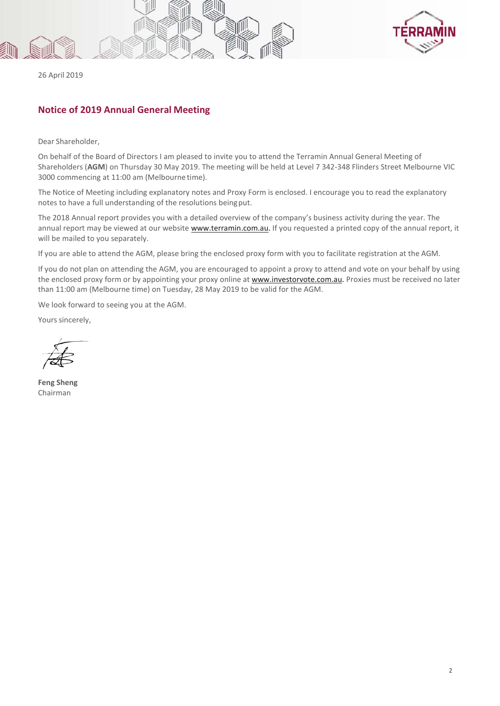



26 April 2019

## **Notice of 2019 Annual General Meeting**

Dear Shareholder,

On behalf of the Board of Directors I am pleased to invite you to attend the Terramin Annual General Meeting of Shareholders (**AGM**) on Thursday 30 May 2019. The meeting will be held at Level 7 342-348 Flinders Street Melbourne VIC 3000 commencing at 11:00 am (Melbourne time).

The Notice of Meeting including explanatory notes and Proxy Form is enclosed. I encourage you to read the explanatory notes to have a full understanding of the resolutions beingput.

The 2018 Annual report provides you with a detailed overview of the company's business activity during the year. The annual report may be viewed at our website www.terramin.com.au. If you requested a printed copy of the annual report, it will be mailed to you separately.

If you are able to attend the AGM, please bring the enclosed proxy form with you to facilitate registration at the AGM.

If you do not plan on attending the AGM, you are encouraged to appoint a proxy to attend and vote on your behalf by using the enclosed proxy form or by appointing your proxy online at www.investorvote.com.au. Proxies must be received no later than 11:00 am (Melbourne time) on Tuesday, 28 May 2019 to be valid for the AGM.

We look forward to seeing you at the AGM.

Yours sincerely,

**Feng Sheng** Chairman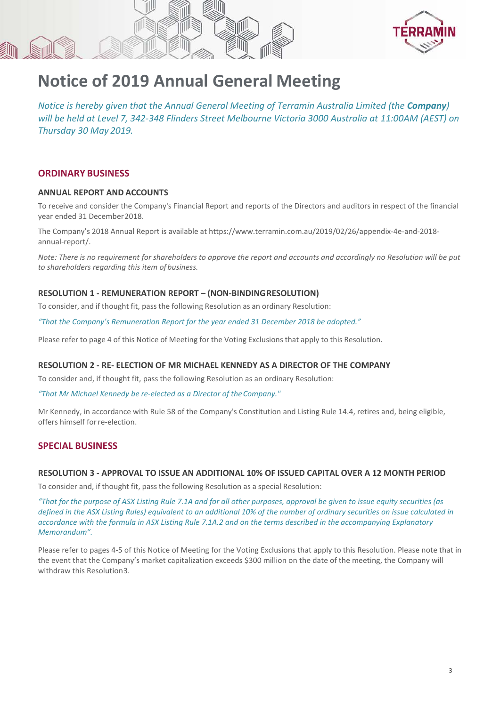



# **Notice of 2019 Annual General Meeting**

*Notice is hereby given that the Annual General Meeting of Terramin Australia Limited (the Company) will be held at Level 7, 342-348 Flinders Street Melbourne Victoria 3000 Australia at 11:00AM (AEST) on Thursday 30 May 2019.*

## **ORDINARY BUSINESS**

## **ANNUAL REPORT AND ACCOUNTS**

To receive and consider the Company's Financial Report and reports of the Directors and auditors in respect of the financial year ended 31 December2018.

The Company's 2018 Annual Report is available at https://www.terramin.com.au/2019/02/26/appendix-4e-and-2018 annual-report/.

*Note: There is no requirement for shareholders to approve the report and accounts and accordingly no Resolution will be put to shareholders regarding this item of business.*

#### **RESOLUTION 1 - REMUNERATION REPORT – (NON-BINDINGRESOLUTION)**

To consider, and if thought fit, pass the following Resolution as an ordinary Resolution:

*"That the Company's Remuneration Report for the year ended 31 December 2018 be adopted."* 

Please refer to page 4 of this Notice of Meeting for the Voting Exclusions that apply to this Resolution.

## **RESOLUTION 2 - RE- ELECTION OF MR MICHAEL KENNEDY AS A DIRECTOR OF THE COMPANY**

To consider and, if thought fit, pass the following Resolution as an ordinary Resolution:

*"That Mr Michael Kennedy be re-elected as a Director of theCompany."*

Mr Kennedy, in accordance with Rule 58 of the Company's Constitution and Listing Rule 14.4, retires and, being eligible, offers himself forre-election.

## **SPECIAL BUSINESS**

#### **RESOLUTION 3 - APPROVAL TO ISSUE AN ADDITIONAL 10% OF ISSUED CAPITAL OVER A 12 MONTH PERIOD**

To consider and, if thought fit, pass the following Resolution as a special Resolution:

*"That for the purpose of ASX Listing Rule 7.1A and for all other purposes, approval be given to issue equity securities (as defined in the ASX Listing Rules) equivalent to an additional 10% of the number of ordinary securities on issue calculated in accordance with the formula in ASX Listing Rule 7.1A.2 and on the terms described in the accompanying Explanatory Memorandum".*

Please refer to pages 4-5 of this Notice of Meeting for the Voting Exclusions that apply to this Resolution. Please note that in the event that the Company's market capitalization exceeds \$300 million on the date of the meeting, the Company will withdraw this Resolution3.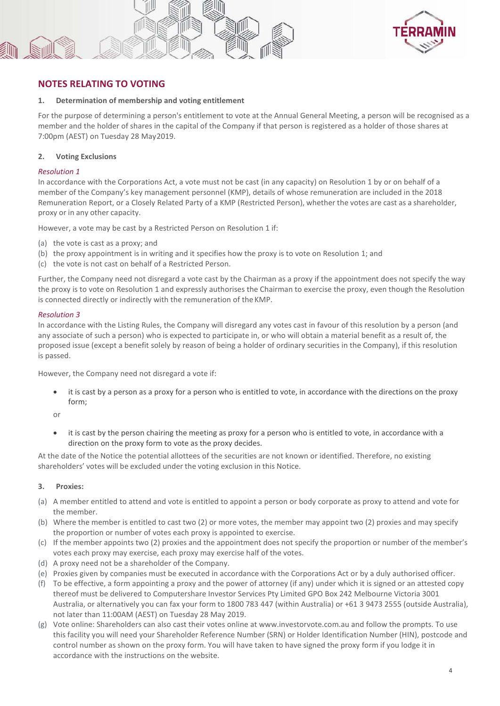



## **NOTES RELATING TO VOTING**

#### **1. Determination of membership and voting entitlement**

For the purpose of determining a person's entitlement to vote at the Annual General Meeting, a person will be recognised as a member and the holder of shares in the capital of the Company if that person is registered as a holder of those shares at 7:00pm (AEST) on Tuesday 28 May2019.

#### **2. Voting Exclusions**

#### *Resolution 1*

In accordance with the Corporations Act, a vote must not be cast (in any capacity) on Resolution 1 by or on behalf of a member of the Company's key management personnel (KMP), details of whose remuneration are included in the 2018 Remuneration Report, or a Closely Related Party of a KMP (Restricted Person), whether the votes are cast as a shareholder, proxy or in any other capacity.

However, a vote may be cast by a Restricted Person on Resolution 1 if:

- (a) the vote is cast as a proxy; and
- (b) the proxy appointment is in writing and it specifies how the proxy is to vote on Resolution 1; and
- (c) the vote is not cast on behalf of a Restricted Person.

Further, the Company need not disregard a vote cast by the Chairman as a proxy if the appointment does not specify the way the proxy is to vote on Resolution 1 and expressly authorises the Chairman to exercise the proxy, even though the Resolution is connected directly or indirectly with the remuneration of the KMP.

#### *Resolution 3*

In accordance with the Listing Rules, the Company will disregard any votes cast in favour of this resolution by a person (and any associate of such a person) who is expected to participate in, or who will obtain a material benefit as a result of, the proposed issue (except a benefit solely by reason of being a holder of ordinary securities in the Company), if this resolution is passed.

However, the Company need not disregard a vote if:

• it is cast by a person as a proxy for a person who is entitled to vote, in accordance with the directions on the proxy form;

or

• it is cast by the person chairing the meeting as proxy for a person who is entitled to vote, in accordance with a direction on the proxy form to vote as the proxy decides.

At the date of the Notice the potential allottees of the securities are not known or identified. Therefore, no existing shareholders' votes will be excluded under the voting exclusion in this Notice.

#### **3. Proxies:**

- (a) A member entitled to attend and vote is entitled to appoint a person or body corporate as proxy to attend and vote for the member.
- (b) Where the member is entitled to cast two (2) or more votes, the member may appoint two (2) proxies and may specify the proportion or number of votes each proxy is appointed to exercise.
- (c) If the member appoints two (2) proxies and the appointment does not specify the proportion or number of the member's votes each proxy may exercise, each proxy may exercise half of the votes.
- (d) A proxy need not be a shareholder of the Company.
- (e) Proxies given by companies must be executed in accordance with the Corporations Act or by a duly authorised officer.
- (f) To be effective, a form appointing a proxy and the power of attorney (if any) under which it is signed or an attested copy thereof must be delivered to Computershare Investor Services Pty Limited GPO Box 242 Melbourne Victoria 3001 Australia, or alternatively you can fax your form to 1800 783 447 (within Australia) or +61 3 9473 2555 (outside Australia), not later than 11:00AM (AEST) on Tuesday 28 May 2019.
- (g) Vote online: Shareholders can also cast their votes online at www.investorvote.com.au and follow the prompts. To use this facility you will need your Shareholder Reference Number (SRN) or Holder Identification Number (HIN), postcode and control number as shown on the proxy form. You will have taken to have signed the proxy form if you lodge it in accordance with the instructions on the website.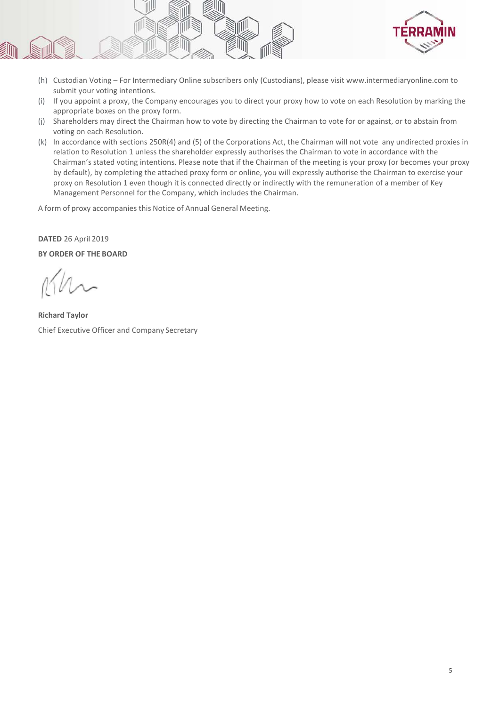

- (h) Custodian Voting For Intermediary Online subscribers only (Custodians), please visit www.intermediaryonline.com to submit your voting intentions.
- (i) If you appoint a proxy, the Company encourages you to direct your proxy how to vote on each Resolution by marking the appropriate boxes on the proxy form.
- (j) Shareholders may direct the Chairman how to vote by directing the Chairman to vote for or against, or to abstain from voting on each Resolution.
- (k) In accordance with sections 250R(4) and (5) of the Corporations Act, the Chairman will not vote any undirected proxies in relation to Resolution 1 unless the shareholder expressly authorises the Chairman to vote in accordance with the Chairman's stated voting intentions. Please note that if the Chairman of the meeting is your proxy (or becomes your proxy by default), by completing the attached proxy form or online, you will expressly authorise the Chairman to exercise your proxy on Resolution 1 even though it is connected directly or indirectly with the remuneration of a member of Key Management Personnel for the Company, which includes the Chairman.

A form of proxy accompanies this Notice of Annual General Meeting.

#### **DATED** 26 April 2019

**BY ORDER OF THE BOARD**

**Richard Taylor** Chief Executive Officer and Company Secretary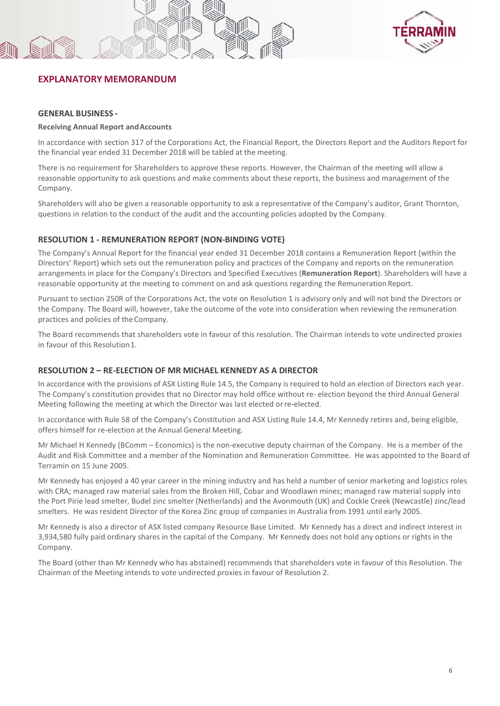



## **EXPLANATORY MEMORANDUM**

#### **GENERAL BUSINESS -**

#### **Receiving Annual Report andAccounts**

In accordance with section 317 of the Corporations Act, the Financial Report, the Directors Report and the Auditors Report for the financial year ended 31 December 2018 will be tabled at the meeting.

There is no requirement for Shareholders to approve these reports. However, the Chairman of the meeting will allow a reasonable opportunity to ask questions and make comments about these reports, the business and management of the Company.

Shareholders will also be given a reasonable opportunity to ask a representative of the Company's auditor, Grant Thornton, questions in relation to the conduct of the audit and the accounting policies adopted by the Company.

#### **RESOLUTION 1 - REMUNERATION REPORT (NON-BINDING VOTE)**

The Company's Annual Report for the financial year ended 31 December 2018 contains a Remuneration Report (within the Directors' Report) which sets out the remuneration policy and practices of the Company and reports on the remuneration arrangements in place for the Company's Directors and Specified Executives (**Remuneration Report**). Shareholders will have a reasonable opportunity at the meeting to comment on and ask questions regarding the Remuneration Report.

Pursuant to section 250R of the Corporations Act, the vote on Resolution 1 is advisory only and will not bind the Directors or the Company. The Board will, however, take the outcome of the vote into consideration when reviewing the remuneration practices and policies of theCompany.

The Board recommends that shareholders vote in favour of this resolution. The Chairman intends to vote undirected proxies in favour of this Resolution1.

#### **RESOLUTION 2 – RE-ELECTION OF MR MICHAEL KENNEDY AS A DIRECTOR**

In accordance with the provisions of ASX Listing Rule 14.5, the Company is required to hold an election of Directors each year. The Company's constitution provides that no Director may hold office without re- election beyond the third Annual General Meeting following the meeting at which the Director was last elected orre-elected.

In accordance with Rule 58 of the Company's Constitution and ASX Listing Rule 14.4, Mr Kennedy retires and, being eligible, offers himself for re-election at the Annual General Meeting.

Mr Michael H Kennedy (BComm – Economics) is the non-executive deputy chairman of the Company. He is a member of the Audit and Risk Committee and a member of the Nomination and Remuneration Committee. He was appointed to the Board of Terramin on 15 June 2005.

Mr Kennedy has enjoyed a 40 year career in the mining industry and has held a number of senior marketing and logistics roles with CRA; managed raw material sales from the Broken Hill, Cobar and Woodlawn mines; managed raw material supply into the Port Pirie lead smelter, Budel zinc smelter (Netherlands) and the Avonmouth (UK) and Cockle Creek (Newcastle) zinc/lead smelters. He was resident Director of the Korea Zinc group of companies in Australia from 1991 until early 2005.

Mr Kennedy is also a director of ASX listed company Resource Base Limited. Mr Kennedy has a direct and indirect interest in 3,934,580 fully paid ordinary shares in the capital of the Company. Mr Kennedy does not hold any options or rights in the Company.

The Board (other than Mr Kennedy who has abstained) recommends that shareholders vote in favour of this Resolution. The Chairman of the Meeting intends to vote undirected proxies in favour of Resolution 2.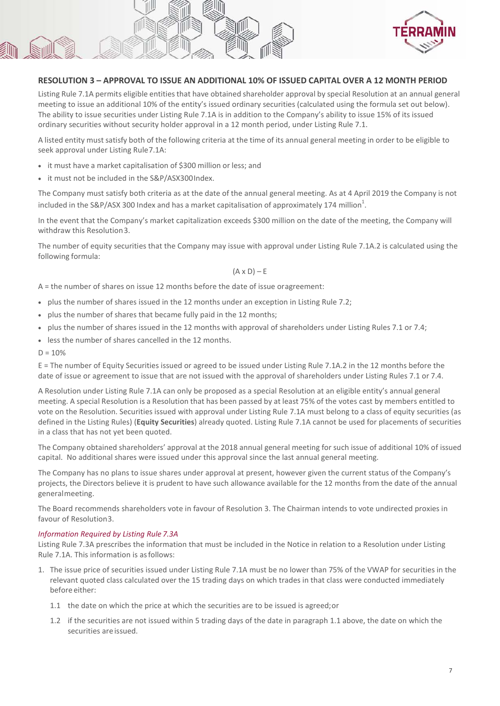

#### **RESOLUTION 3 – APPROVAL TO ISSUE AN ADDITIONAL 10% OF ISSUED CAPITAL OVER A 12 MONTH PERIOD**

Listing Rule 7.1A permits eligible entities that have obtained shareholder approval by special Resolution at an annual general meeting to issue an additional 10% of the entity's issued ordinary securities (calculated using the formula set out below). The ability to issue securities under Listing Rule 7.1A is in addition to the Company's ability to issue 15% of its issued ordinary securities without security holder approval in a 12 month period, under Listing Rule 7.1.

A listed entity must satisfy both of the following criteria at the time of its annual general meeting in order to be eligible to seek approval under Listing Rule7.1A:

- it must have a market capitalisation of \$300 million or less; and
- it must not be included in the S&P/ASX300Index.

The Company must satisfy both criteria as at the date of the annual general meeting. As at 4 April 2019 the Company is not included in the S&P/ASX 300 Index and has a market capitalisation of approximately 174 million $^1$ .

In the event that the Company's market capitalization exceeds \$300 million on the date of the meeting, the Company will withdraw this Resolution3.

The number of equity securities that the Company may issue with approval under Listing Rule 7.1A.2 is calculated using the following formula:

 $(A \times D) - E$ 

A = the number of shares on issue 12 months before the date of issue oragreement:

- plus the number of shares issued in the 12 months under an exception in Listing Rule 7.2;
- plus the number of shares that became fully paid in the 12 months;
- plus the number of shares issued in the 12 months with approval of shareholders under Listing Rules 7.1 or 7.4;
- less the number of shares cancelled in the 12 months.
- $D = 10%$

E = The number of Equity Securities issued or agreed to be issued under Listing Rule 7.1A.2 in the 12 months before the date of issue or agreement to issue that are not issued with the approval of shareholders under Listing Rules 7.1 or 7.4.

A Resolution under Listing Rule 7.1A can only be proposed as a special Resolution at an eligible entity's annual general meeting. A special Resolution is a Resolution that has been passed by at least 75% of the votes cast by members entitled to vote on the Resolution. Securities issued with approval under Listing Rule 7.1A must belong to a class of equity securities (as defined in the Listing Rules) (**Equity Securities**) already quoted. Listing Rule 7.1A cannot be used for placements of securities in a class that has not yet been quoted.

The Company obtained shareholders' approval at the 2018 annual general meeting for such issue of additional 10% of issued capital. No additional shares were issued under this approval since the last annual general meeting.

The Company has no plans to issue shares under approval at present, however given the current status of the Company's projects, the Directors believe it is prudent to have such allowance available for the 12 months from the date of the annual generalmeeting.

The Board recommends shareholders vote in favour of Resolution 3. The Chairman intends to vote undirected proxies in favour of Resolution3.

#### *Information Required by Listing Rule 7.3A*

Listing Rule 7.3A prescribes the information that must be included in the Notice in relation to a Resolution under Listing Rule 7.1A. This information is asfollows:

- 1. The issue price of securities issued under Listing Rule 7.1A must be no lower than 75% of the VWAP for securities in the relevant quoted class calculated over the 15 trading days on which trades in that class were conducted immediately before either:
	- 1.1 the date on which the price at which the securities are to be issued is agreed;or
	- 1.2 if the securities are not issued within 5 trading days of the date in paragraph 1.1 above, the date on which the securities are issued.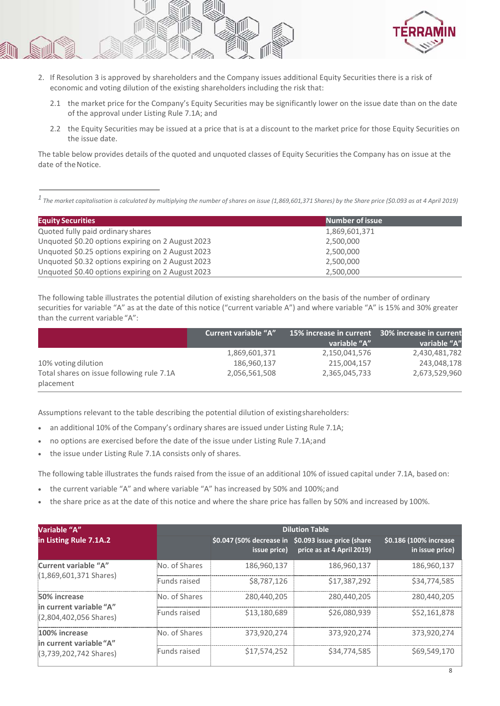

- 2. If Resolution 3 is approved by shareholders and the Company issues additional Equity Securities there is a risk of economic and voting dilution of the existing shareholders including the risk that:
	- 2.1 the market price for the Company's Equity Securities may be significantly lower on the issue date than on the date of the approval under Listing Rule 7.1A; and
	- 2.2 the Equity Securities may be issued at a price that is at a discount to the market price for those Equity Securities on the issue date.

The table below provides details of the quoted and unquoted classes of Equity Securities the Company has on issue at the date of the Notice.

*1 The market capitalisation is calculated by multiplying the number of shares on issue (1,869,601,371 Shares) by the Share price (\$0.093 as at 4 April 2019)*

| <b>Equity Securities</b>                          | <b>Number of issue</b> |
|---------------------------------------------------|------------------------|
| Quoted fully paid ordinary shares                 | 1,869,601,371          |
| Unquoted \$0.20 options expiring on 2 August 2023 | 2,500,000              |
| Unquoted \$0.25 options expiring on 2 August 2023 | 2,500,000              |
| Unquoted \$0.32 options expiring on 2 August 2023 | 2,500,000              |
| Unquoted \$0.40 options expiring on 2 August 2023 | 2,500,000              |

The following table illustrates the potential dilution of existing shareholders on the basis of the number of ordinary securities for variable "A" as at the date of this notice ("current variable A") and where variable "A" is 15% and 30% greater than the current variable "A":

|                                                        | <b>Current variable "A"</b> | 15% increase in current 30% increase in current |               |
|--------------------------------------------------------|-----------------------------|-------------------------------------------------|---------------|
|                                                        |                             | variable "A"                                    | variable "A"  |
|                                                        | 1,869,601,371               | 2,150,041,576                                   | 2,430,481,782 |
| 10% voting dilution                                    | 186,960,137                 | 215,004,157                                     | 243,048,178   |
| Total shares on issue following rule 7.1A<br>placement | 2,056,561,508               | 2,365,045,733                                   | 2,673,529,960 |

Assumptions relevant to the table describing the potential dilution of existingshareholders:

- an additional 10% of the Company's ordinary shares are issued under Listing Rule 7.1A;
- no options are exercised before the date of the issue under Listing Rule 7.1A;and
- the issue under Listing Rule 7.1A consists only of shares.

The following table illustrates the funds raised from the issue of an additional 10% of issued capital under 7.1A, based on:

- the current variable "A" and where variable "A" has increased by 50% and 100%; and
- the share price as at the date of this notice and where the share price has fallen by 50% and increased by 100%.

| Variable "A"                                                        |               | <b>Dilution Table</b> |                                                                                  |                                           |  |  |  |
|---------------------------------------------------------------------|---------------|-----------------------|----------------------------------------------------------------------------------|-------------------------------------------|--|--|--|
| in Listing Rule 7.1A.2                                              |               | issue price)          | \$0.047 (50% decrease in \$0.093 issue price (share<br>price as at 4 April 2019) | \$0.186 (100% increase<br>in issue price) |  |  |  |
| Current variable "A"                                                | No. of Shares | 186.960.137           | 186.960.137                                                                      | 186.960.137                               |  |  |  |
| $(1,869,601,371$ Shares)                                            | Funds raised  | \$8,787,126           | \$17,387,292                                                                     | \$34,774,585                              |  |  |  |
| 50% increase<br>in current variable "A"<br>$(2,804,402,056$ Shares) | No. of Shares | 280,440,205           | 280,440,205                                                                      | 280.440.205                               |  |  |  |
|                                                                     | Funds raised  | \$13,180,689          | \$26,080,939                                                                     | \$52,161,878                              |  |  |  |
| 100% increase<br>in current variable "A"                            | No. of Shares | 373.920.274           | 373,920,274                                                                      | 373.920.274                               |  |  |  |
| (3,739,202,742 Shares)                                              | Funds raised  | \$17,574,252          | \$34,774,585                                                                     | \$69,549,170                              |  |  |  |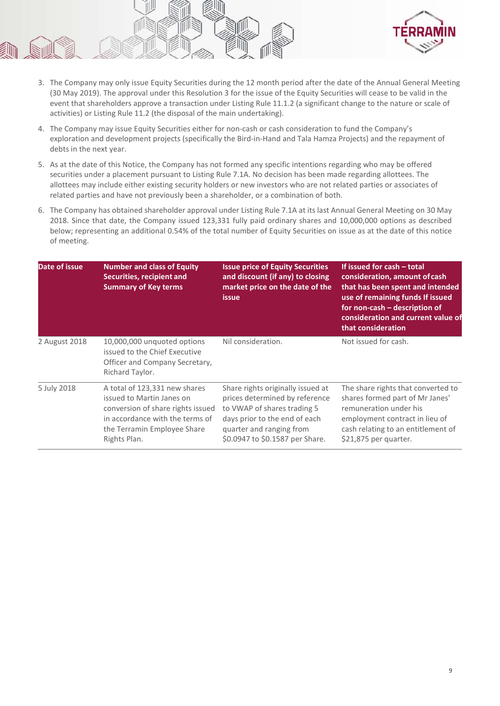

- 3. The Company may only issue Equity Securities during the 12 month period after the date of the Annual General Meeting (30 May 2019). The approval under this Resolution 3 for the issue of the Equity Securities will cease to be valid in the event that shareholders approve a transaction under Listing Rule 11.1.2 (a significant change to the nature or scale of activities) or Listing Rule 11.2 (the disposal of the main undertaking).
- 4. The Company may issue Equity Securities either for non-cash or cash consideration to fund the Company's exploration and development projects (specifically the Bird-in-Hand and Tala Hamza Projects) and the repayment of debts in the next year.
- 5. As at the date of this Notice, the Company has not formed any specific intentions regarding who may be offered securities under a placement pursuant to Listing Rule 7.1A. No decision has been made regarding allottees. The allottees may include either existing security holders or new investors who are not related parties or associates of related parties and have not previously been a shareholder, or a combination of both.
- 6. The Company has obtained shareholder approval under Listing Rule 7.1A at its last Annual General Meeting on 30 May 2018. Since that date, the Company issued 123,331 fully paid ordinary shares and 10,000,000 options as described below; representing an additional 0.54% of the total number of Equity Securities on issue as at the date of this notice of meeting.

| Date of issue | <b>Number and class of Equity</b><br>Securities, recipient and<br><b>Summary of Key terms</b>                                                                                     | <b>Issue price of Equity Securities</b><br>and discount (if any) to closing<br>market price on the date of the<br><b>issue</b>                                                                     | If issued for cash - total<br>consideration, amount of cash<br>that has been spent and intended<br>use of remaining funds If issued<br>for non-cash – description of<br>consideration and current value of<br>that consideration |
|---------------|-----------------------------------------------------------------------------------------------------------------------------------------------------------------------------------|----------------------------------------------------------------------------------------------------------------------------------------------------------------------------------------------------|----------------------------------------------------------------------------------------------------------------------------------------------------------------------------------------------------------------------------------|
| 2 August 2018 | 10,000,000 unquoted options<br>issued to the Chief Executive<br>Officer and Company Secretary,<br>Richard Taylor.                                                                 | Nil consideration.                                                                                                                                                                                 | Not issued for cash.                                                                                                                                                                                                             |
| 5 July 2018   | A total of 123,331 new shares<br>issued to Martin Janes on<br>conversion of share rights issued<br>in accordance with the terms of<br>the Terramin Employee Share<br>Rights Plan. | Share rights originally issued at<br>prices determined by reference<br>to VWAP of shares trading 5<br>days prior to the end of each<br>quarter and ranging from<br>\$0.0947 to \$0.1587 per Share. | The share rights that converted to<br>shares formed part of Mr Janes'<br>remuneration under his<br>employment contract in lieu of<br>cash relating to an entitlement of<br>\$21,875 per quarter.                                 |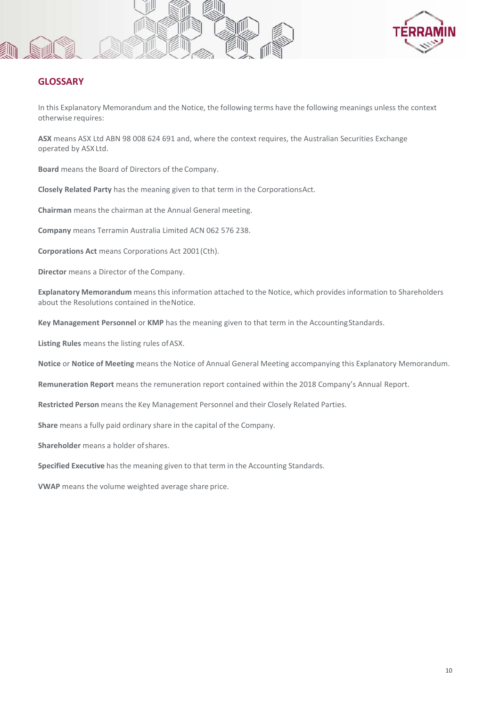



## **GLOSSARY**

In this Explanatory Memorandum and the Notice, the following terms have the following meanings unless the context otherwise requires:

**ASX** means ASX Ltd ABN 98 008 624 691 and, where the context requires, the Australian Securities Exchange operated by ASX Ltd.

**Board** means the Board of Directors of the Company.

**Closely Related Party** has the meaning given to that term in the CorporationsAct.

**Chairman** means the chairman at the Annual General meeting.

**Company** means Terramin Australia Limited ACN 062 576 238.

**Corporations Act** means Corporations Act 2001(Cth).

**Director** means a Director of the Company.

**Explanatory Memorandum** means this information attached to the Notice, which provides information to Shareholders about the Resolutions contained in theNotice.

**Key Management Personnel** or **KMP** has the meaning given to that term in the AccountingStandards.

**Listing Rules** means the listing rules ofASX.

**Notice** or **Notice of Meeting** means the Notice of Annual General Meeting accompanying this Explanatory Memorandum.

**Remuneration Report** means the remuneration report contained within the 2018 Company's Annual Report.

**Restricted Person** means the Key Management Personnel and their Closely Related Parties.

**Share** means a fully paid ordinary share in the capital of the Company.

**Shareholder** means a holder of shares.

**Specified Executive** has the meaning given to that term in the Accounting Standards.

**VWAP** means the volume weighted average share price.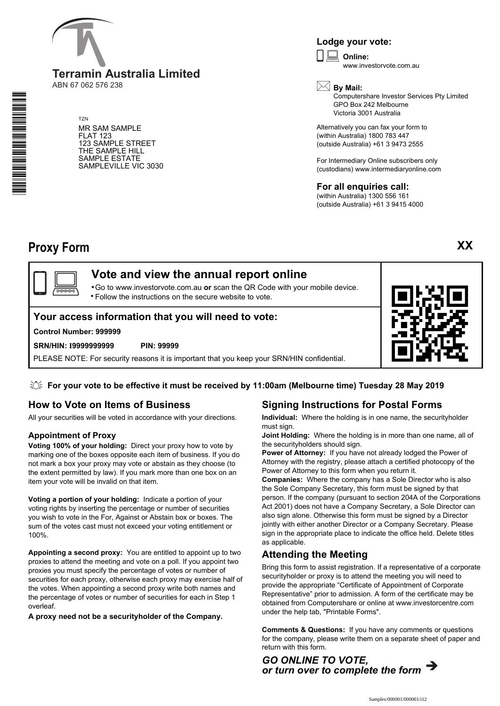

ABN 67 062 576 238

TZN MR SAM SAMPLE FLAT 123 123 SAMPLE STREET THE SAMPLE HILL SAMPLE ESTATE SAMPLEVILLE VIC 3030

## **Lodge your vote:**

**Online:** www.investorvote.com.au  $\boxed{\Box}$ 



Computershare Investor Services Pty Limited GPO Box 242 Melbourne Victoria 3001 Australia

Alternatively you can fax your form to (within Australia) 1800 783 447 (outside Australia) +61 3 9473 2555

For Intermediary Online subscribers only (custodians) www.intermediaryonline.com

**For all enquiries call:** (within Australia) 1300 556 161

(outside Australia) +61 3 9415 4000

**XX**

# **Proxy Form**

## **Vote and view the annual report online**

Go to www.investorvote.com.au **or** scan the QR Code with your mobile device. Follow the instructions on the secure website to vote. •  $\square$  :

## **Your access information that you will need to vote:**

#### **Control Number: 999999**

#### **SRN/HIN: I9999999999 PIN: 99999**

PLEASE NOTE: For security reasons it is important that you keep your SRN/HIN confidential.



## **For your vote to be effective it must be received by 11:00am (Melbourne time) Tuesday 28 May 2019**

## **How to Vote on Items of Business**

All your securities will be voted in accordance with your directions.

## **Appointment of Proxy**

**Voting 100% of your holding:** Direct your proxy how to vote by marking one of the boxes opposite each item of business. If you do not mark a box your proxy may vote or abstain as they choose (to the extent permitted by law). If you mark more than one box on an item your vote will be invalid on that item.

**Voting a portion of your holding:** Indicate a portion of your voting rights by inserting the percentage or number of securities you wish to vote in the For, Against or Abstain box or boxes. The sum of the votes cast must not exceed your voting entitlement or 100%.

**Appointing a second proxy:** You are entitled to appoint up to two proxies to attend the meeting and vote on a poll. If you appoint two proxies you must specify the percentage of votes or number of securities for each proxy, otherwise each proxy may exercise half of the votes. When appointing a second proxy write both names and the percentage of votes or number of securities for each in Step 1 overleaf.

**A proxy need not be a securityholder of the Company.**

## **Signing Instructions for Postal Forms**

**Individual:** Where the holding is in one name, the securityholder must sign.

**Joint Holding:** Where the holding is in more than one name, all of the securityholders should sign.

**Power of Attorney:** If you have not already lodged the Power of Attorney with the registry, please attach a certified photocopy of the Power of Attorney to this form when you return it.

**Companies:** Where the company has a Sole Director who is also the Sole Company Secretary, this form must be signed by that person. If the company (pursuant to section 204A of the Corporations Act 2001) does not have a Company Secretary, a Sole Director can also sign alone. Otherwise this form must be signed by a Director jointly with either another Director or a Company Secretary. Please sign in the appropriate place to indicate the office held. Delete titles as applicable.

## **Attending the Meeting**

Bring this form to assist registration. If a representative of a corporate securityholder or proxy is to attend the meeting you will need to provide the appropriate "Certificate of Appointment of Corporate Representative" prior to admission. A form of the certificate may be obtained from Computershare or online at www.investorcentre.com under the help tab, "Printable Forms".

**Comments & Questions:** If you have any comments or questions for the company, please write them on a separate sheet of paper and return with this form.



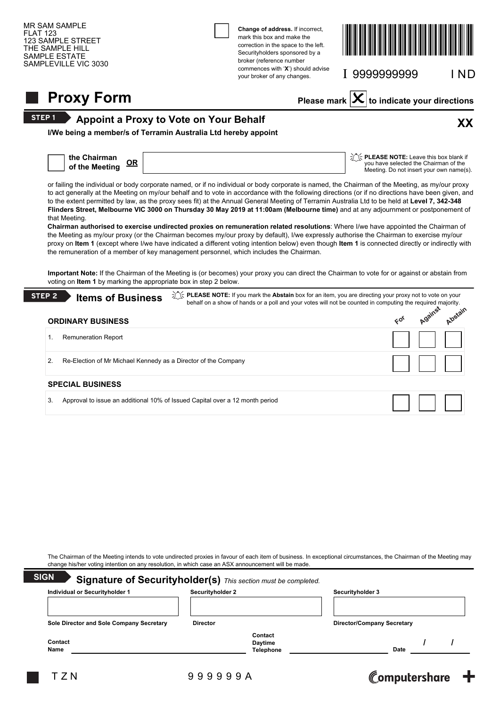

| 3. | Approval to issue an additional 10% of Issued Capital over a 12 month period |  |
|----|------------------------------------------------------------------------------|--|

The Chairman of the Meeting intends to vote undirected proxies in favour of each item of business. In exceptional circumstances, the Chairman of the Meeting may change his/her voting intention on any resolution, in which case an ASX announcement will be made.

| Individual or Securityholder 1           | Securityholder 2 |                  |                                   | Securityholder 3 |  |  |
|------------------------------------------|------------------|------------------|-----------------------------------|------------------|--|--|
| Sole Director and Sole Company Secretary | <b>Director</b>  |                  | <b>Director/Company Secretary</b> |                  |  |  |
|                                          |                  | Contact          |                                   |                  |  |  |
| Contact                                  |                  | Daytime          |                                   |                  |  |  |
| Name                                     |                  | <b>Telephone</b> |                                   | <b>Date</b>      |  |  |

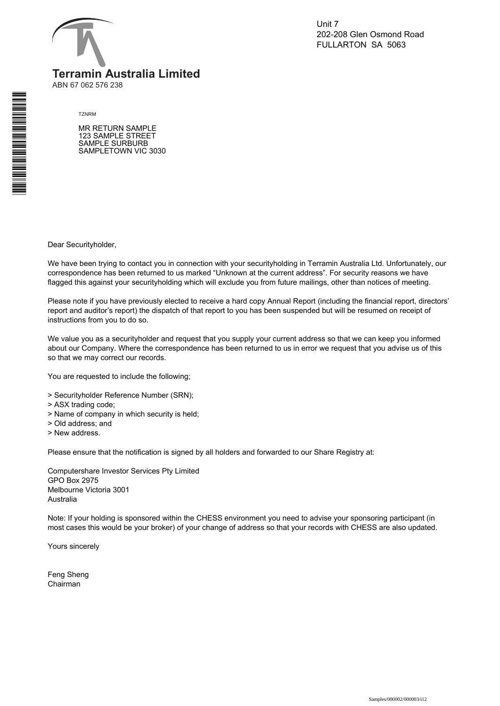

Unit 7 202-208 Glen Osmond Road FULLARTON SA 5063

ABN 67 062 576 238

#### TZNRM

MR RETURN SAMPLE 123 SAMPLE STREET SAMPLE SURBURB SAMPLETOWN VIC 3030

Dear Securityholder,

We have been trying to contact you in connection with your securityholding in Terramin Australia Ltd. Unfortunately, our correspondence has been returned to us marked "Unknown at the current address". For security reasons we have flagged this against your securityholding which will exclude you from future mailings, other than notices of meeting.

Please note if you have previously elected to receive a hard copy Annual Report (including the financial report, directors' report and auditor's report) the dispatch of that report to you has been suspended but will be resumed on receipt of instructions from you to do so.

We value you as a securityholder and request that you supply your current address so that we can keep you informed about our Company. Where the correspondence has been returned to us in error we request that you advise us of this so that we may correct our records.

You are requested to include the following;

- > Securityholder Reference Number (SRN);
- > ASX trading code;
- > Name of company in which security is held;
- > Old address; and
- > New address.

Please ensure that the notification is signed by all holders and forwarded to our Share Registry at:

Computershare Investor Services Pty Limited GPO Box 2975 Melbourne Victoria 3001 Australia

Note: If your holding is sponsored within the CHESS environment you need to advise your sponsoring participant (in most cases this would be your broker) of your change of address so that your records with CHESS are also updated.

Yours sincerely

Feng Sheng Chairman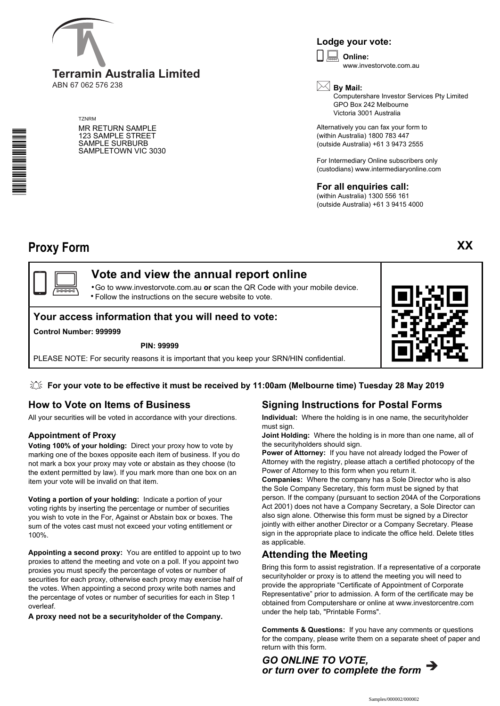

ABN 67 062 576 238

**TZNRM** 

MR RETURN SAMPLE 123 SAMPLE STREET SAMPLE SURBURB SAMPLETOWN VIC 3030

## **Lodge your vote:**

**Online:** www.investorvote.com.au  $\boxed{\Box}$ 



Computershare Investor Services Pty Limited GPO Box 242 Melbourne Victoria 3001 Australia

Alternatively you can fax your form to (within Australia) 1800 783 447 (outside Australia) +61 3 9473 2555

For Intermediary Online subscribers only (custodians) www.intermediaryonline.com

**For all enquiries call:** (within Australia) 1300 556 161

(outside Australia) +61 3 9415 4000

## **Proxy Form**

\*<br>\* London<br>\* London<br>\* London<br>\* London



Go to www.investorvote.com.au **or** scan the QR Code with your mobile device. Follow the instructions on the secure website to vote. •

## **Your access information that you will need to vote:**

**Control Number: 999999**

**PIN: 99999**

PLEASE NOTE: For security reasons it is important that you keep your SRN/HIN confidential.



**For your vote to be effective it must be received by 11:00am (Melbourne time) Tuesday 28 May 2019**

## **How to Vote on Items of Business**

All your securities will be voted in accordance with your directions.

## **Appointment of Proxy**

**Voting 100% of your holding:** Direct your proxy how to vote by marking one of the boxes opposite each item of business. If you do not mark a box your proxy may vote or abstain as they choose (to the extent permitted by law). If you mark more than one box on an item your vote will be invalid on that item.

**Voting a portion of your holding:** Indicate a portion of your voting rights by inserting the percentage or number of securities you wish to vote in the For, Against or Abstain box or boxes. The sum of the votes cast must not exceed your voting entitlement or 100%.

**Appointing a second proxy:** You are entitled to appoint up to two proxies to attend the meeting and vote on a poll. If you appoint two proxies you must specify the percentage of votes or number of securities for each proxy, otherwise each proxy may exercise half of the votes. When appointing a second proxy write both names and the percentage of votes or number of securities for each in Step 1 overleaf.

**A proxy need not be a securityholder of the Company.**

## **Signing Instructions for Postal Forms**

**Individual:** Where the holding is in one name, the securityholder must sign.

**Joint Holding:** Where the holding is in more than one name, all of the securityholders should sign.

**Power of Attorney:** If you have not already lodged the Power of Attorney with the registry, please attach a certified photocopy of the Power of Attorney to this form when you return it.

**Companies:** Where the company has a Sole Director who is also the Sole Company Secretary, this form must be signed by that person. If the company (pursuant to section 204A of the Corporations Act 2001) does not have a Company Secretary, a Sole Director can also sign alone. Otherwise this form must be signed by a Director jointly with either another Director or a Company Secretary. Please sign in the appropriate place to indicate the office held. Delete titles as applicable.

## **Attending the Meeting**

Bring this form to assist registration. If a representative of a corporate securityholder or proxy is to attend the meeting you will need to provide the appropriate "Certificate of Appointment of Corporate Representative" prior to admission. A form of the certificate may be obtained from Computershare or online at www.investorcentre.com under the help tab, "Printable Forms".

**Comments & Questions:** If you have any comments or questions for the company, please write them on a separate sheet of paper and return with this form.